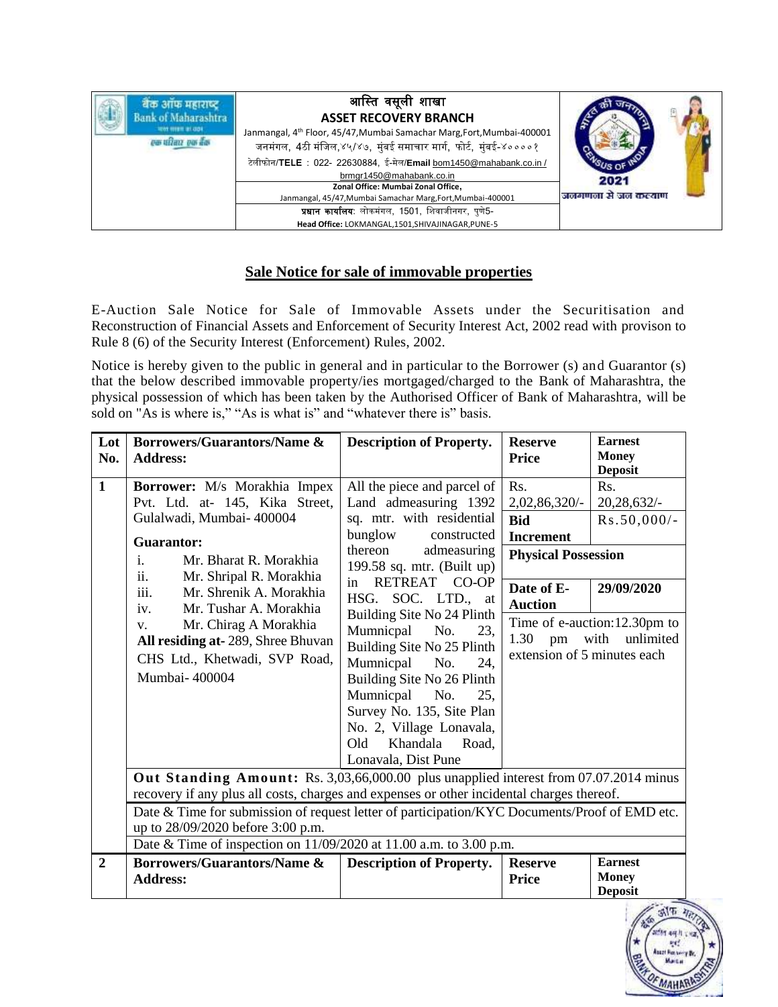| of Maharashtra<br><b>REAR RESIST BLOCK</b><br>एक परिवार एक बैंक | आस्ति वसूली शाखा<br><b>ASSET RECOVERY BRANCH</b><br>Janmangal, 4 <sup>th</sup> Floor, 45/47, Mumbai Samachar Marg, Fort, Mumbai-400001<br>जनमंगल, 4ठी मंजिल,४५/४७, मुंबई समाचार मार्ग, फोर्ट, मुंबई-४००००१<br>टेलीफोन/TELE: 022- 22630884, ई-मेल/Email bom1450@mahabank.co.in /<br>brmgr1450@mahabank.co.in<br>Zonal Office: Mumbai Zonal Office,<br>Janmangal, 45/47, Mumbai Samachar Marg, Fort, Mumbai-400001<br>प्रधान कार्यालय: लोकमंगल, 1501, शिवाजीनगर, पणे5- | 2021<br>जनगणना से जन करवाण |  |
|-----------------------------------------------------------------|----------------------------------------------------------------------------------------------------------------------------------------------------------------------------------------------------------------------------------------------------------------------------------------------------------------------------------------------------------------------------------------------------------------------------------------------------------------------|----------------------------|--|
|                                                                 | Head Office: LOKMANGAL,1501,SHIVAJINAGAR,PUNE-5                                                                                                                                                                                                                                                                                                                                                                                                                      |                            |  |

## **Sale Notice for sale of immovable properties**

E-Auction Sale Notice for Sale of Immovable Assets under the Securitisation and Reconstruction of Financial Assets and Enforcement of Security Interest Act, 2002 read with provison to Rule 8 (6) of the Security Interest (Enforcement) Rules, 2002.

Notice is hereby given to the public in general and in particular to the Borrower (s) and Guarantor (s) that the below described immovable property/ies mortgaged/charged to the Bank of Maharashtra, the physical possession of which has been taken by the Authorised Officer of Bank of Maharashtra, will be sold on "As is where is," "As is what is" and "whatever there is" basis.

| Lot<br>No.   | <b>Borrowers/Guarantors/Name &amp;</b><br><b>Address:</b>                                                                                                                                                                                                                                                                                                                                 | <b>Description of Property.</b>                                                                                                                                                                                                                                                                                                                                                                                                                                                                         | <b>Reserve</b><br><b>Price</b>                                                                                                                                    | <b>Earnest</b><br><b>Money</b><br><b>Deposit</b>                                                    |  |  |  |
|--------------|-------------------------------------------------------------------------------------------------------------------------------------------------------------------------------------------------------------------------------------------------------------------------------------------------------------------------------------------------------------------------------------------|---------------------------------------------------------------------------------------------------------------------------------------------------------------------------------------------------------------------------------------------------------------------------------------------------------------------------------------------------------------------------------------------------------------------------------------------------------------------------------------------------------|-------------------------------------------------------------------------------------------------------------------------------------------------------------------|-----------------------------------------------------------------------------------------------------|--|--|--|
| $\mathbf{1}$ | Borrower: M/s Morakhia Impex<br>Pvt. Ltd. at- 145, Kika Street,<br>Gulalwadi, Mumbai- 400004<br><b>Guarantor:</b><br>Mr. Bharat R. Morakhia<br>$\mathbf{i}$ .<br>ii.<br>Mr. Shripal R. Morakhia<br>iii.<br>Mr. Shrenik A. Morakhia<br>Mr. Tushar A. Morakhia<br>iv.<br>Mr. Chirag A Morakhia<br>V.<br>All residing at-289, Shree Bhuvan<br>CHS Ltd., Khetwadi, SVP Road,<br>Mumbai-400004 | All the piece and parcel of<br>Land admeasuring 1392<br>sq. mtr. with residential<br>bunglow<br>constructed<br>thereon<br>admeasuring<br>199.58 sq. mtr. (Built up)<br>RETREAT CO-OP<br>in<br>HSG. SOC. LTD., at<br>Building Site No 24 Plinth<br>Mumnicpal<br>No.<br>23,<br>Building Site No 25 Plinth<br>Mumnicpal<br>No.<br>24,<br>Building Site No 26 Plinth<br>Mumnicpal<br>No.<br>25,<br>Survey No. 135, Site Plan<br>No. 2, Village Lonavala,<br>Old<br>Khandala<br>Road.<br>Lonavala, Dist Pune | Rs.<br>2,02,86,320/-<br><b>Bid</b><br><b>Increment</b><br><b>Physical Possession</b><br>Date of E-<br><b>Auction</b><br>1.30<br>pm<br>extension of 5 minutes each | Rs.<br>20,28,632/-<br>$Rs.50,000/-$<br>29/09/2020<br>Time of e-auction:12.30pm to<br>with unlimited |  |  |  |
|              | up to 28/09/2020 before 3:00 p.m.                                                                                                                                                                                                                                                                                                                                                         | Out Standing Amount: Rs. 3,03,66,000.00 plus unapplied interest from 07.07.2014 minus<br>recovery if any plus all costs, charges and expenses or other incidental charges thereof.<br>Date & Time for submission of request letter of participation/KYC Documents/Proof of EMD etc.<br>Date & Time of inspection on 11/09/2020 at 11.00 a.m. to 3.00 p.m.                                                                                                                                               |                                                                                                                                                                   |                                                                                                     |  |  |  |
| $\mathbf{2}$ | <b>Borrowers/Guarantors/Name &amp;</b><br><b>Address:</b>                                                                                                                                                                                                                                                                                                                                 | <b>Description of Property.</b>                                                                                                                                                                                                                                                                                                                                                                                                                                                                         | <b>Reserve</b><br>Price                                                                                                                                           | <b>Earnest</b><br><b>Money</b><br><b>Deposit</b>                                                    |  |  |  |

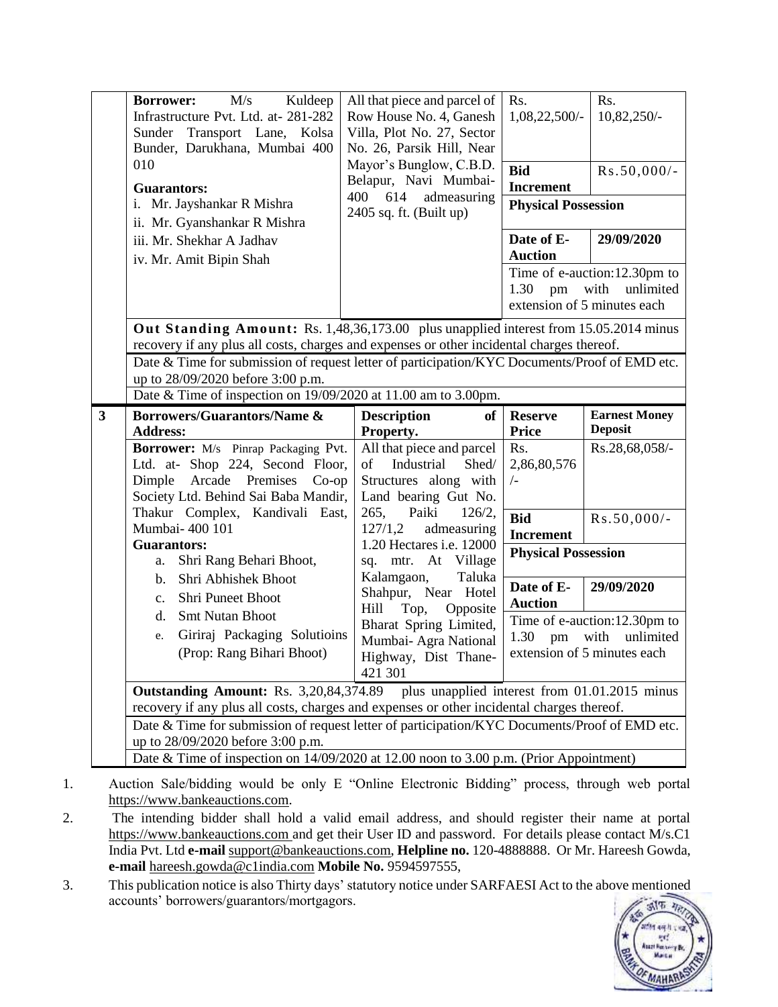| M/s<br>Kuldeep<br><b>Borrower:</b><br>Infrastructure Pvt. Ltd. at-281-282<br>Sunder Transport Lane, Kolsa<br>Bunder, Darukhana, Mumbai 400<br>010<br><b>Guarantors:</b><br>Mr. Jayshankar R Mishra<br>i.                     | All that piece and parcel of<br>Row House No. 4, Ganesh<br>Villa, Plot No. 27, Sector<br>No. 26, Parsik Hill, Near<br>Mayor's Bunglow, C.B.D.<br>Belapur, Navi Mumbai-<br>400<br>614<br>admeasuring                                                                                                                                                     | Rs.<br>$1,08,22,500/$ -<br><b>Bid</b><br><b>Increment</b><br><b>Physical Possession</b>                                                      | Rs.<br>$10,82,250/-$<br>$Rs.50,000/-$                                            |  |  |  |  |
|------------------------------------------------------------------------------------------------------------------------------------------------------------------------------------------------------------------------------|---------------------------------------------------------------------------------------------------------------------------------------------------------------------------------------------------------------------------------------------------------------------------------------------------------------------------------------------------------|----------------------------------------------------------------------------------------------------------------------------------------------|----------------------------------------------------------------------------------|--|--|--|--|
| ii. Mr. Gyanshankar R Mishra<br>iii. Mr. Shekhar A Jadhav<br>iv. Mr. Amit Bipin Shah                                                                                                                                         | 2405 sq. ft. (Built up)                                                                                                                                                                                                                                                                                                                                 | Date of E-<br>29/09/2020<br><b>Auction</b><br>Time of e-auction:12.30pm to<br>1.30<br>with<br>unlimited<br>pm<br>extension of 5 minutes each |                                                                                  |  |  |  |  |
| up to 28/09/2020 before 3:00 p.m.                                                                                                                                                                                            | Out Standing Amount: Rs. 1,48,36,173.00 plus unapplied interest from 15.05.2014 minus<br>recovery if any plus all costs, charges and expenses or other incidental charges thereof.<br>Date & Time for submission of request letter of participation/KYC Documents/Proof of EMD etc.<br>Date & Time of inspection on $19/09/2020$ at 11.00 am to 3.00pm. |                                                                                                                                              |                                                                                  |  |  |  |  |
| <b>Borrowers/Guarantors/Name &amp;</b><br>$\mathbf{3}$<br><b>Address:</b>                                                                                                                                                    | <b>Description</b><br>of  <br>Property.                                                                                                                                                                                                                                                                                                                 | <b>Reserve</b><br><b>Price</b>                                                                                                               | <b>Earnest Money</b><br><b>Deposit</b>                                           |  |  |  |  |
| Borrower: M/s Pinrap Packaging Pvt.<br>Ltd. at- Shop 224, Second Floor,<br>Dimple Arcade Premises Co-op                                                                                                                      | All that piece and parcel<br>of<br>Industrial<br>Shed/<br>Structures along with<br>Land bearing Gut No.                                                                                                                                                                                                                                                 | Rs.<br>2,86,80,576<br>$\sqrt{-}$                                                                                                             | Rs.28,68,058/-                                                                   |  |  |  |  |
| Society Ltd. Behind Sai Baba Mandir,                                                                                                                                                                                         |                                                                                                                                                                                                                                                                                                                                                         |                                                                                                                                              |                                                                                  |  |  |  |  |
| Thakur Complex, Kandivali East,<br>Mumbai- 400 101                                                                                                                                                                           | Paiki<br>126/2,<br>265,<br>127/1,2<br>admeasuring                                                                                                                                                                                                                                                                                                       | <b>Bid</b><br><b>Increment</b>                                                                                                               | $Rs.50,000/-$                                                                    |  |  |  |  |
| <b>Guarantors:</b><br>Shri Rang Behari Bhoot,<br>a.                                                                                                                                                                          | 1.20 Hectares i.e. 12000<br>sq. mtr. At Village                                                                                                                                                                                                                                                                                                         | <b>Physical Possession</b>                                                                                                                   |                                                                                  |  |  |  |  |
| Shri Abhishek Bhoot<br>$\mathbf{b}$ .<br>Shri Puneet Bhoot<br>$c_{\cdot}$                                                                                                                                                    | Kalamgaon,<br>Taluka<br>Shahpur, Near Hotel                                                                                                                                                                                                                                                                                                             | Date of E-<br><b>Auction</b>                                                                                                                 | 29/09/2020                                                                       |  |  |  |  |
| <b>Smt Nutan Bhoot</b><br>d.<br>Giriraj Packaging Solutioins<br>e.<br>(Prop: Rang Bihari Bhoot)                                                                                                                              | Hill<br>Top,<br>Opposite<br>Bharat Spring Limited,<br>Mumbai- Agra National<br>Highway, Dist Thane-<br>421 301                                                                                                                                                                                                                                          | 1.30<br>pm                                                                                                                                   | Time of e-auction:12.30pm to<br>with<br>unlimited<br>extension of 5 minutes each |  |  |  |  |
| <b>Outstanding Amount: Rs. 3,20,84,374.89</b><br>recovery if any plus all costs, charges and expenses or other incidental charges thereof.                                                                                   | plus unapplied interest from 01.01.2015 minus                                                                                                                                                                                                                                                                                                           |                                                                                                                                              |                                                                                  |  |  |  |  |
| Date & Time for submission of request letter of participation/KYC Documents/Proof of EMD etc.<br>up to 28/09/2020 before 3:00 p.m.<br>Date & Time of inspection on 14/09/2020 at 12.00 noon to 3.00 p.m. (Prior Appointment) |                                                                                                                                                                                                                                                                                                                                                         |                                                                                                                                              |                                                                                  |  |  |  |  |

- 1. Auction Sale/bidding would be only E "Online Electronic Bidding" process, through web portal [https://www.bankeauctions.com.](https://www.bankeauctions.com/)
- 2. The intending bidder shall hold a valid email address, and should register their name at portal [https://www.bankeauctions.com](https://www.bankeauctions.com/) and get their User ID and password. For details please contact M/s.C1 India Pvt. Ltd **e-mail** [support@bankeauctions.com,](mailto:support@bankeauctions.com) **Helpline no.** 120-4888888. Or Mr. Hareesh Gowda, **e-mail** hareesh.gowda@c1india.com **Mobile No.** 9594597555,
- 3. This publication notice is also Thirty days' statutory notice under SARFAESI Act to the above mentioned accounts' borrowers/guarantors/mortgagors.